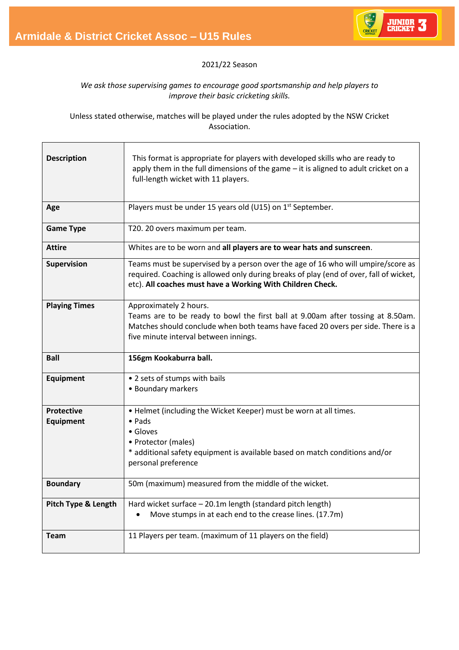Junior Cricket Stage 3 (Under 15s)



## 2021/22 Season

## *We ask those supervising games to encourage good sportsmanship and help players to improve their basic cricketing skills.*

Unless stated otherwise, matches will be played under the rules adopted by the NSW Cricket Association.

| <b>Description</b>             | This format is appropriate for players with developed skills who are ready to<br>apply them in the full dimensions of the game $-$ it is aligned to adult cricket on a<br>full-length wicket with 11 players.                            |
|--------------------------------|------------------------------------------------------------------------------------------------------------------------------------------------------------------------------------------------------------------------------------------|
| Age                            | Players must be under 15 years old (U15) on 1 <sup>st</sup> September.                                                                                                                                                                   |
| <b>Game Type</b>               | T20. 20 overs maximum per team.                                                                                                                                                                                                          |
| <b>Attire</b>                  | Whites are to be worn and all players are to wear hats and sunscreen.                                                                                                                                                                    |
| Supervision                    | Teams must be supervised by a person over the age of 16 who will umpire/score as<br>required. Coaching is allowed only during breaks of play (end of over, fall of wicket,<br>etc). All coaches must have a Working With Children Check. |
| <b>Playing Times</b>           | Approximately 2 hours.<br>Teams are to be ready to bowl the first ball at 9.00am after tossing at 8.50am.<br>Matches should conclude when both teams have faced 20 overs per side. There is a<br>five minute interval between innings.   |
| <b>Ball</b>                    | 156gm Kookaburra ball.                                                                                                                                                                                                                   |
|                                |                                                                                                                                                                                                                                          |
| <b>Equipment</b>               | • 2 sets of stumps with bails<br>• Boundary markers                                                                                                                                                                                      |
| <b>Protective</b><br>Equipment | • Helmet (including the Wicket Keeper) must be worn at all times.<br>$\bullet$ Pads<br>• Gloves<br>• Protector (males)<br>* additional safety equipment is available based on match conditions and/or<br>personal preference             |
| <b>Boundary</b>                | 50m (maximum) measured from the middle of the wicket.                                                                                                                                                                                    |
| <b>Pitch Type &amp; Length</b> | Hard wicket surface - 20.1m length (standard pitch length)<br>Move stumps in at each end to the crease lines. (17.7m)                                                                                                                    |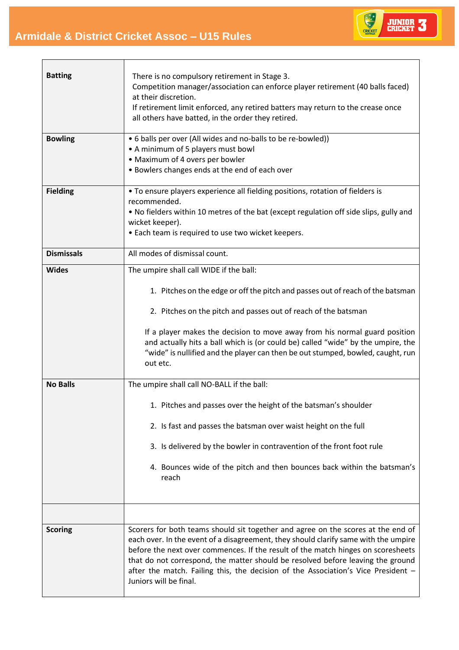Junior Cricket Stage 3 (Under 15s)

r



Ť.

| <b>Batting</b><br><b>Bowling</b> | There is no compulsory retirement in Stage 3.<br>Competition manager/association can enforce player retirement (40 balls faced)<br>at their discretion.<br>If retirement limit enforced, any retired batters may return to the crease once<br>all others have batted, in the order they retired.<br>• 6 balls per over (All wides and no-balls to be re-bowled))                                                                                              |
|----------------------------------|---------------------------------------------------------------------------------------------------------------------------------------------------------------------------------------------------------------------------------------------------------------------------------------------------------------------------------------------------------------------------------------------------------------------------------------------------------------|
|                                  | • A minimum of 5 players must bowl<br>• Maximum of 4 overs per bowler<br>• Bowlers changes ends at the end of each over                                                                                                                                                                                                                                                                                                                                       |
| <b>Fielding</b>                  | • To ensure players experience all fielding positions, rotation of fielders is<br>recommended.<br>. No fielders within 10 metres of the bat (except regulation off side slips, gully and<br>wicket keeper).<br>• Each team is required to use two wicket keepers.                                                                                                                                                                                             |
| <b>Dismissals</b>                | All modes of dismissal count.                                                                                                                                                                                                                                                                                                                                                                                                                                 |
| <b>Wides</b>                     | The umpire shall call WIDE if the ball:<br>1. Pitches on the edge or off the pitch and passes out of reach of the batsman<br>2. Pitches on the pitch and passes out of reach of the batsman<br>If a player makes the decision to move away from his normal guard position<br>and actually hits a ball which is (or could be) called "wide" by the umpire, the<br>"wide" is nullified and the player can then be out stumped, bowled, caught, run<br>out etc.  |
| <b>No Balls</b>                  | The umpire shall call NO-BALL if the ball:<br>1. Pitches and passes over the height of the batsman's shoulder<br>2. Is fast and passes the batsman over waist height on the full<br>3. Is delivered by the bowler in contravention of the front foot rule<br>4. Bounces wide of the pitch and then bounces back within the batsman's<br>reach                                                                                                                 |
| <b>Scoring</b>                   | Scorers for both teams should sit together and agree on the scores at the end of<br>each over. In the event of a disagreement, they should clarify same with the umpire<br>before the next over commences. If the result of the match hinges on scoresheets<br>that do not correspond, the matter should be resolved before leaving the ground<br>after the match. Failing this, the decision of the Association's Vice President -<br>Juniors will be final. |